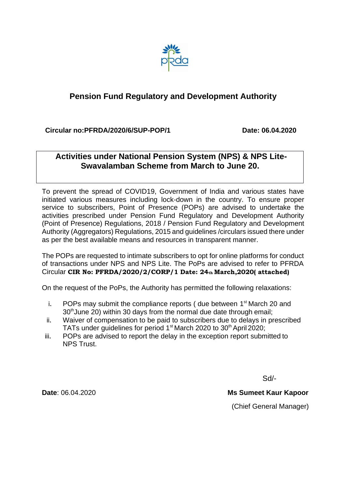

# **Pension Fund Regulatory and Development Authority**

 **Circular no:PFRDA/2020/6/SUP-POP/1 Date: 06.04.2020**

# **Activities under National Pension System (NPS) & NPS Lite-Swavalamban Scheme from March to June 20.**

To prevent the spread of COVID19, Government of India and various states have initiated various measures including lock-down in the country. To ensure proper service to subscribers, Point of Presence (POPs) are advised to undertake the activities prescribed under Pension Fund Regulatory and Development Authority (Point of Presence) Regulations, 2018 / Pension Fund Regulatory and Development Authority (Aggregators) Regulations, 2015 and guidelines /circulars issued there under as per the best available means and resources in transparent manner.

The POPs are requested to intimate subscribers to opt for online platforms for conduct of transactions under NPS and NPS Lite. The PoPs are advised to refer to PFRDA Circular **CIR No: PFRDA/2020/2/CORP/1 Date: 24th March,2020( attached)**

On the request of the PoPs, the Authority has permitted the following relaxations:

- i. POPs may submit the compliance reports ( due between  $1<sup>st</sup>$  March 20 and 30<sup>th</sup> June 20) within 30 days from the normal due date through email;
- ii. Waiver of compensation to be paid to subscribers due to delays in prescribed TATs under quidelines for period  $1<sup>st</sup>$  March 2020 to  $30<sup>th</sup>$  April 2020;
- iii. POPs are advised to report the delay in the exception report submitted to NPS Trust.

Sd/-

**Date**: 06.04.2020 **Ms Sumeet Kaur Kapoor**

(Chief General Manager)